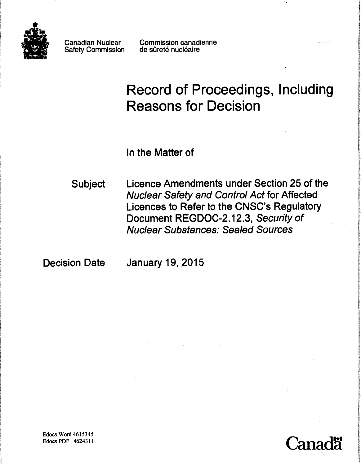

Canadian Nuclear Safety Commission Commission canadienne de sûreté nucléaire

# Record of Proceedings, Including Reasons for Decision

In the Matter of

Subject Licence Amendments under Section 25 of the Nuclear Safety and Control Act for Affected Licences to Refer to the CNSC's Regulatory Document REGDOC-2.12.3, Security of Nuclear Substances: Sealed Sources

Decision Date January 19, 2015



ورد با توريد از داد كه امكانية بوا غمانكش ها بود كانه كاست به بيا<br>ا

li distrit si Maquinomenta, com la Lindia<br>Li

! **Internation**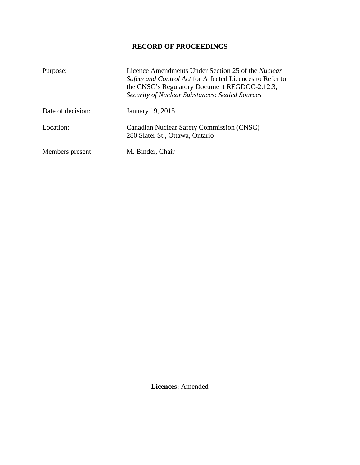# **RECORD OF PROCEEDINGS**

| Purpose:          | Licence Amendments Under Section 25 of the Nuclear<br>Safety and Control Act for Affected Licences to Refer to<br>the CNSC's Regulatory Document REGDOC-2.12.3,<br><b>Security of Nuclear Substances: Sealed Sources</b> |
|-------------------|--------------------------------------------------------------------------------------------------------------------------------------------------------------------------------------------------------------------------|
| Date of decision: | January 19, 2015                                                                                                                                                                                                         |
| Location:         | Canadian Nuclear Safety Commission (CNSC)<br>280 Slater St., Ottawa, Ontario                                                                                                                                             |
| Members present:  | M. Binder, Chair                                                                                                                                                                                                         |

**Licences:** Amended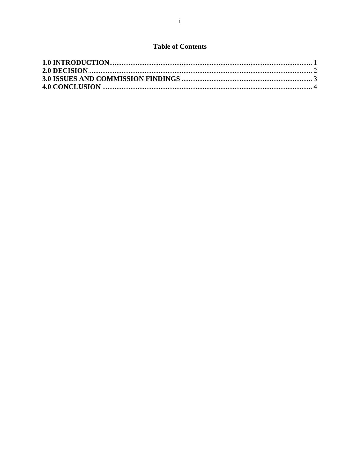## **Table of Contents**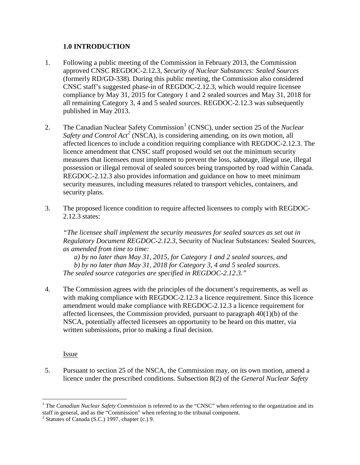#### <span id="page-3-0"></span>**1.0 INTRODUCTION**

- 1. Following a public meeting of the Commission in February 2013, the Commission approved CNSC REGDOC-2.12.3, *Security of Nuclear Substances: Sealed Sources* (formerly RD/GD-338). During this public meeting, the Commission also considered CNSC staff's suggested phase-in of REGDOC-2.12.3, which would require licensee compliance by May 31, 2015 for Category 1 and 2 sealed sources and May 31, 2018 for all remaining Category 3, 4 and 5 sealed sources. REGDOC-2.12.3 was subsequently published in May 2013.
- 2. The Canadian Nuclear Safety Commission<sup>[1](#page-3-1)</sup> (CNSC), under section 25 of the *Nuclear* Safety and Control Act<sup>[2](#page-3-2)</sup> (NSCA), is considering amending, on its own motion, all affected licences to include a condition requiring compliance with REGDOC-2.12.3. The licence amendment that CNSC staff proposed would set out the minimum security measures that licensees must implement to prevent the loss, sabotage, illegal use, illegal possession or illegal removal of sealed sources being transported by road within Canada. REGDOC-2.12.3 also provides information and guidance on how to meet minimum security measures, including measures related to transport vehicles, containers, and security plans.
- 3. The proposed licence condition to require affected licensees to comply with REGDOC-2.12.3 states:

*"The licensee shall implement the security measures for sealed sources as set out in Regulatory Document REGDOC-2.12.3,* Security of Nuclear Substances: Sealed Sources*, as amended from time to time:* 

*a) by no later than May 31, 2015, for Category 1 and 2 sealed sources, and b) by no later than May 31, 2018 for Category 3, 4 and 5 sealed sources. The sealed source categories are specified in REGDOC-2.12.3."* 

4. The Commission agrees with the principles of the document's requirements, as well as with making compliance with REGDOC-2.12.3 a licence requirement. Since this licence amendment would make compliance with REGDOC-2.12.3 a licence requirement for affected licensees, the Commission provided, pursuant to paragraph 40(1)(b) of the NSCA, potentially affected licensees an opportunity to be heard on this matter, via written submissions, prior to making a final decision.

Issue

5. Pursuant to section 25 of the NSCA, the Commission may, on its own motion, amend a licence under the prescribed conditions. Subsection 8(2) of the *General Nuclear Safety* 

<span id="page-3-1"></span><sup>&</sup>lt;u>.</u> <sup>1</sup> The *Canadian Nuclear Safety Commission* is referred to as the "CNSC" when referring to the organization and its staff in general, and as the "Commission" when referring to the tribunal component.<br><sup>2</sup> Statutes of Canada (S.C.) 1997, chapter (c.) 9.

<span id="page-3-3"></span><span id="page-3-2"></span>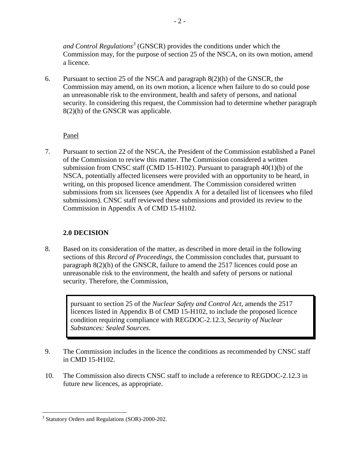*and Control Regulations[3](#page-3-3)* (GNSCR) provides the conditions under which the Commission may, for the purpose of section 25 of the NSCA, on its own motion, amend a licence.

6. Pursuant to section 25 of the NSCA and paragraph 8(2)(h) of the GNSCR, the Commission may amend, on its own motion, a licence when failure to do so could pose an unreasonable risk to the environment, health and safety of persons, and national security. In considering this request, the Commission had to determine whether paragraph 8(2)(h) of the GNSCR was applicable.

Panel

7. Pursuant to section 22 of the NSCA, the President of the Commission established a Panel of the Commission to review this matter. The Commission considered a written submission from CNSC staff (CMD 15-H102). Pursuant to paragraph 40(1)(b) of the NSCA, potentially affected licensees were provided with an opportunity to be heard, in writing, on this proposed licence amendment. The Commission considered written submissions from six licensees (see Appendix A for a detailed list of licensees who filed submissions). CNSC staff reviewed these submissions and provided its review to the Commission in Appendix A of CMD 15-H102.

#### <span id="page-4-0"></span>**2.0 DECISION**

8. Based on its consideration of the matter, as described in more detail in the following sections of this *Record of Proceedings*, the Commission concludes that, pursuant to paragraph 8(2)(h) of the GNSCR, failure to amend the 2517 licences could pose an unreasonable risk to the environment, the health and safety of persons or national security. Therefore, the Commission,

> pursuant to section 25 of the *Nuclear Safety and Control Act*, amends the 2517 licences listed in Appendix B of CMD 15-H102, to include the proposed licence condition requiring compliance with REGDOC-2.12.3, *Security of Nuclear Substances: Sealed Sources*.

- 9. The Commission includes in the licence the conditions as recommended by CNSC staff in CMD 15-H102.
- 10. The Commission also directs CNSC staff to include a reference to REGDOC-2.12.3 in future new licences, as appropriate.

 $\overline{a}$ <sup>3</sup> Statutory Orders and Regulations (SOR)-2000-202.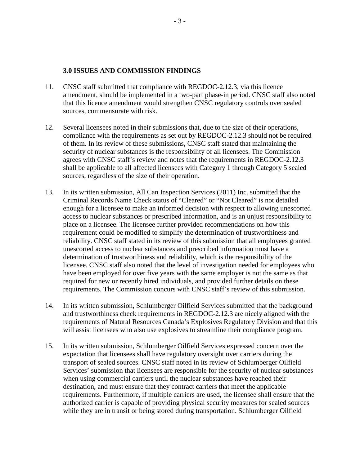#### <span id="page-5-0"></span>**3.0 ISSUES AND COMMISSION FINDINGS**

- 11. CNSC staff submitted that compliance with REGDOC-2.12.3, via this licence amendment, should be implemented in a two-part phase-in period. CNSC staff also noted that this licence amendment would strengthen CNSC regulatory controls over sealed sources, commensurate with risk.
- 12. Several licensees noted in their submissions that, due to the size of their operations, compliance with the requirements as set out by REGDOC-2.12.3 should not be required of them. In its review of these submissions, CNSC staff stated that maintaining the security of nuclear substances is the responsibility of all licensees. The Commission agrees with CNSC staff's review and notes that the requirements in REGDOC-2.12.3 shall be applicable to all affected licensees with Category 1 through Category 5 sealed sources, regardless of the size of their operation.
- 13. In its written submission, All Can Inspection Services (2011) Inc. submitted that the Criminal Records Name Check status of "Cleared" or "Not Cleared" is not detailed enough for a licensee to make an informed decision with respect to allowing unescorted access to nuclear substances or prescribed information, and is an unjust responsibility to place on a licensee. The licensee further provided recommendations on how this requirement could be modified to simplify the determination of trustworthiness and reliability. CNSC staff stated in its review of this submission that all employees granted unescorted access to nuclear substances and prescribed information must have a determination of trustworthiness and reliability, which is the responsibility of the licensee. CNSC staff also noted that the level of investigation needed for employees who have been employed for over five years with the same employer is not the same as that required for new or recently hired individuals, and provided further details on these requirements. The Commission concurs with CNSC staff's review of this submission.
- 14. In its written submission, Schlumberger Oilfield Services submitted that the background and trustworthiness check requirements in REGDOC-2.12.3 are nicely aligned with the requirements of Natural Resources Canada's Explosives Regulatory Division and that this will assist licensees who also use explosives to streamline their compliance program.
- 15. In its written submission, Schlumberger Oilfield Services expressed concern over the expectation that licensees shall have regulatory oversight over carriers during the transport of sealed sources. CNSC staff noted in its review of Schlumberger Oilfield Services' submission that licensees are responsible for the security of nuclear substances when using commercial carriers until the nuclear substances have reached their destination, and must ensure that they contract carriers that meet the applicable requirements. Furthermore, if multiple carriers are used, the licensee shall ensure that the authorized carrier is capable of providing physical security measures for sealed sources while they are in transit or being stored during transportation. Schlumberger Oilfield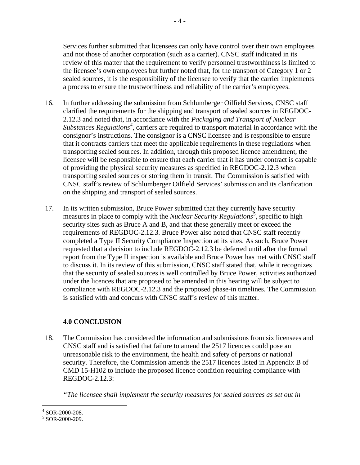Services further submitted that licensees can only have control over their own employees and not those of another corporation (such as a carrier). CNSC staff indicated in its review of this matter that the requirement to verify personnel trustworthiness is limited to the licensee's own employees but further noted that, for the transport of Category 1 or 2 sealed sources, it is the responsibility of the licensee to verify that the carrier implements a process to ensure the trustworthiness and reliability of the carrier's employees.

- 16. In further addressing the submission from Schlumberger Oilfield Services, CNSC staff clarified the requirements for the shipping and transport of sealed sources in REGDOC-2.12.3 and noted that, in accordance with the *Packaging and Transport of Nuclear Substances Regulations[4](#page-6-1)* , carriers are required to transport material in accordance with the consignor's instructions. The consignor is a CNSC licensee and is responsible to ensure that it contracts carriers that meet the applicable requirements in these regulations when transporting sealed sources. In addition, through this proposed licence amendment, the licensee will be responsible to ensure that each carrier that it has under contract is capable of providing the physical security measures as specified in REGDOC-2.12.3 when transporting sealed sources or storing them in transit. The Commission is satisfied with CNSC staff's review of Schlumberger Oilfield Services' submission and its clarification on the shipping and transport of sealed sources.
- 17. In its written submission, Bruce Power submitted that they currently have security measures in place to comply with the *Nuclear Security Regulations*<sup>[5](#page-6-2)</sup>, specific to high security sites such as Bruce A and B, and that these generally meet or exceed the requirements of REGDOC-2.12.3. Bruce Power also noted that CNSC staff recently completed a Type II Security Compliance Inspection at its sites. As such, Bruce Power requested that a decision to include REGDOC-2.12.3 be deferred until after the formal report from the Type II inspection is available and Bruce Power has met with CNSC staff to discuss it. In its review of this submission, CNSC staff stated that, while it recognizes that the security of sealed sources is well controlled by Bruce Power, activities authorized under the licences that are proposed to be amended in this hearing will be subject to compliance with REGDOC-2.12.3 and the proposed phase-in timelines. The Commission is satisfied with and concurs with CNSC staff's review of this matter.

#### <span id="page-6-0"></span>**4.0 CONCLUSION**

18. The Commission has considered the information and submissions from six licensees and CNSC staff and is satisfied that failure to amend the 2517 licences could pose an unreasonable risk to the environment, the health and safety of persons or national security. Therefore, the Commission amends the 2517 licences listed in Appendix B of CMD 15-H102 to include the proposed licence condition requiring compliance with REGDOC-2.12.3:

*"The licensee shall implement the security measures for sealed sources as set out in* 

<sup>-</sup><sup>4</sup> SOR-2000-208.<br><sup>5</sup> SOR-2000-209.

<span id="page-6-2"></span><span id="page-6-1"></span>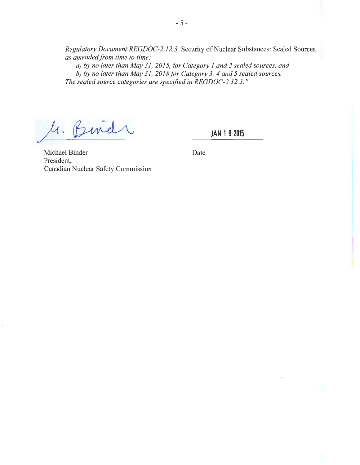*Regulatory Document REGDOC-2.12. 3,* Security of Nuclear Substances: Sealed Sources, *as amended from time to time:* 

*a) by no later than May 31, 2015, for Category 1and2 sealed sources, and b) by no later than May 31, 2018/or Category 3, 4 and 5 sealed sources. The sealed source categories are specified in REGDOC-2.12. 3.* "

 $\mathcal{U}.$ 

**JAN 1 9 2015** 

Michael Binder Date President, Canadian Nuclear Safety Commission